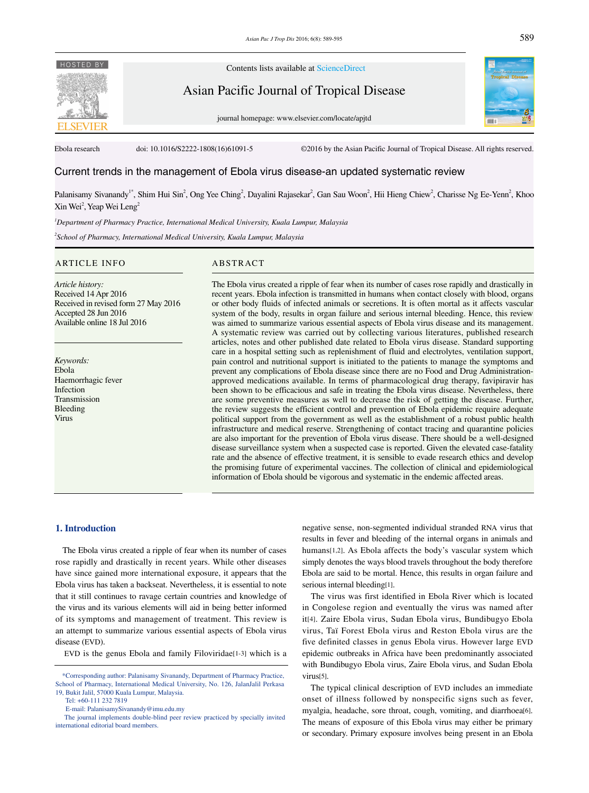

Contents lists available at ScienceDirect

Asian Pacific Journal of Tropical Disease

journal homepage: www.elsevier.com/locate/apjtd



Ebola research doi: 10.1016/S2222-1808(16)61091-5 ©2016 by the Asian Pacific Journal of Tropical Disease. All rights reserved.

# Current trends in the management of Ebola virus disease-an updated systematic review

Palanisamy Sivanandy<sup>1\*</sup>, Shim Hui Sin<sup>2</sup>, Ong Yee Ching<sup>2</sup>, Dayalini Rajasekar<sup>2</sup>, Gan Sau Woon<sup>2</sup>, Hii Hieng Chiew<sup>2</sup>, Charisse Ng Ee-Yenn<sup>2</sup>, Khoo Xin Wei<sup>2</sup>, Yeap Wei Leng<sup>2</sup>

*1 Department of Pharmacy Practice, International Medical University, Kuala Lumpur, Malaysia* 

*2 School of Pharmacy, International Medical University, Kuala Lumpur, Malaysia* 

### ARTICLE INFO ABSTRACT

*Article history:* Received 14 Apr 2016 Received in revised form 27 May 2016 Accepted 28 Jun 2016 Available online 18 Jul 2016

*Keywords:* Ebola Haemorrhagic fever Infection **Transmission** Bleeding Virus

The Ebola virus created a ripple of fear when its number of cases rose rapidly and drastically in recent years. Ebola infection is transmitted in humans when contact closely with blood, organs or other body fluids of infected animals or secretions. It is often mortal as it affects vascular system of the body, results in organ failure and serious internal bleeding. Hence, this review was aimed to summarize various essential aspects of Ebola virus disease and its management. A systematic review was carried out by collecting various literatures, published research articles, notes and other published date related to Ebola virus disease. Standard supporting care in a hospital setting such as replenishment of fluid and electrolytes, ventilation support, pain control and nutritional support is initiated to the patients to manage the symptoms and prevent any complications of Ebola disease since there are no Food and Drug Administrationapproved medications available. In terms of pharmacological drug therapy, favipiravir has been shown to be efficacious and safe in treating the Ebola virus disease. Nevertheless, there are some preventive measures as well to decrease the risk of getting the disease. Further, the review suggests the efficient control and prevention of Ebola epidemic require adequate political support from the government as well as the establishment of a robust public health infrastructure and medical reserve. Strengthening of contact tracing and quarantine policies are also important for the prevention of Ebola virus disease. There should be a well-designed disease surveillance system when a suspected case is reported. Given the elevated case-fatality rate and the absence of effective treatment, it is sensible to evade research ethics and develop the promising future of experimental vaccines. The collection of clinical and epidemiological information of Ebola should be vigorous and systematic in the endemic affected areas.

### **1. Introduction**

 The Ebola virus created a ripple of fear when its number of cases rose rapidly and drastically in recent years. While other diseases have since gained more international exposure, it appears that the Ebola virus has taken a backseat. Nevertheless, it is essential to note that it still continues to ravage certain countries and knowledge of the virus and its various elements will aid in being better informed of its symptoms and management of treatment. This review is an attempt to summarize various essential aspects of Ebola virus disease (EVD).

EVD is the genus Ebola and family Filoviridae[1-3] which is a

negative sense, non-segmented individual stranded RNA virus that results in fever and bleeding of the internal organs in animals and humans[1,2]. As Ebola affects the body's vascular system which simply denotes the ways blood travels throughout the body therefore Ebola are said to be mortal. Hence, this results in organ failure and serious internal bleeding[1].

 The virus was first identified in Ebola River which is located in Congolese region and eventually the virus was named after it[4]. Zaire Ebola virus, Sudan Ebola virus, Bundibugyo Ebola virus, Taï Forest Ebola virus and Reston Ebola virus are the five definited classes in genus Ebola virus. However large EVD epidemic outbreaks in Africa have been predominantly associated with Bundibugyo Ebola virus, Zaire Ebola virus, and Sudan Ebola virus[5].

 The typical clinical description of EVD includes an immediate onset of illness followed by nonspecific signs such as fever, myalgia, headache, sore throat, cough, vomiting, and diarrhoea[6]. The means of exposure of this Ebola virus may either be primary or secondary. Primary exposure involves being present in an Ebola

 <sup>\*</sup>Corresponding author: Palanisamy Sivanandy, Department of Pharmacy Practice, School of Pharmacy, International Medical University, No. 126, JalanJalil Perkasa 19, Bukit Jalil, 57000 Kuala Lumpur, Malaysia.

Tel: +60-111 232 7819

E-mail: PalanisamySivanandy@imu.edu.my

The journal implements double-blind peer review practiced by specially invited international editorial board members.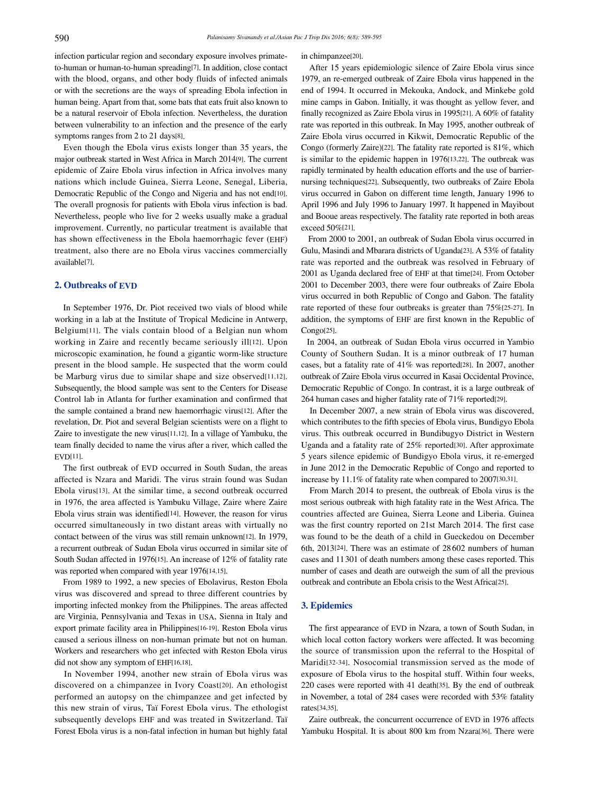infection particular region and secondary exposure involves primateto-human or human-to-human spreading[7]. In addition, close contact with the blood, organs, and other body fluids of infected animals or with the secretions are the ways of spreading Ebola infection in human being. Apart from that, some bats that eats fruit also known to be a natural reservoir of Ebola infection. Nevertheless, the duration between vulnerability to an infection and the presence of the early symptoms ranges from 2 to 21 days[8].

 Even though the Ebola virus exists longer than 35 years, the major outbreak started in West Africa in March 2014[9]. The current epidemic of Zaire Ebola virus infection in Africa involves many nations which include Guinea, Sierra Leone, Senegal, Liberia, Democratic Republic of the Congo and Nigeria and has not end[10]. The overall prognosis for patients with Ebola virus infection is bad. Nevertheless, people who live for 2 weeks usually make a gradual improvement. Currently, no particular treatment is available that has shown effectiveness in the Ebola haemorrhagic fever (EHF) treatment, also there are no Ebola virus vaccines commercially available[7].

## **2. Outbreaks of EVD**

 In September 1976, Dr. Piot received two vials of blood while working in a lab at the Institute of Tropical Medicine in Antwerp, Belgium[11]. The vials contain blood of a Belgian nun whom working in Zaire and recently became seriously ill[12]. Upon microscopic examination, he found a gigantic worm-like structure present in the blood sample. He suspected that the worm could be Marburg virus due to similar shape and size observed[11,12]. Subsequently, the blood sample was sent to the Centers for Disease Control lab in Atlanta for further examination and confirmed that the sample contained a brand new haemorrhagic virus[12]. After the revelation, Dr. Piot and several Belgian scientists were on a flight to Zaire to investigate the new virus[11,12]. In a village of Yambuku, the team finally decided to name the virus after a river, which called the EVD[11].

 The first outbreak of EVD occurred in South Sudan, the areas affected is Nzara and Maridi. The virus strain found was Sudan Ebola virus[13]. At the similar time, a second outbreak occurred in 1976, the area affected is Yambuku Village, Zaire where Zaire Ebola virus strain was identified[14]. However, the reason for virus occurred simultaneously in two distant areas with virtually no contact between of the virus was still remain unknown[12]. In 1979, a recurrent outbreak of Sudan Ebola virus occurred in similar site of South Sudan affected in 1976[15]. An increase of 12% of fatality rate was reported when compared with year 1976[14,15].

 From 1989 to 1992, a new species of Ebolavirus, Reston Ebola virus was discovered and spread to three different countries by importing infected monkey from the Philippines. The areas affected are Virginia, Pennsylvania and Texas in USA, Sienna in Italy and export primate facility area in Philippines[16-19]. Reston Ebola virus caused a serious illness on non-human primate but not on human. Workers and researchers who get infected with Reston Ebola virus did not show any symptom of EHF[16,18].

 In November 1994, another new strain of Ebola virus was discovered on a chimpanzee in Ivory Coast[20]. An ethologist performed an autopsy on the chimpanzee and get infected by this new strain of virus, Taï Forest Ebola virus. The ethologist subsequently develops EHF and was treated in Switzerland. Taï Forest Ebola virus is a non-fatal infection in human but highly fatal in chimpanzee[20].

 After 15 years epidemiologic silence of Zaire Ebola virus since 1979, an re-emerged outbreak of Zaire Ebola virus happened in the end of 1994. It occurred in Mekouka, Andock, and Minkebe gold mine camps in Gabon. Initially, it was thought as yellow fever, and finally recognized as Zaire Ebola virus in 1995[21]. A 60% of fatality rate was reported in this outbreak. In May 1995, another outbreak of Zaire Ebola virus occurred in Kikwit, Democratic Republic of the Congo (formerly Zaire)[22]. The fatality rate reported is 81%, which is similar to the epidemic happen in 1976[13,22]. The outbreak was rapidly terminated by health education efforts and the use of barriernursing techniques[22]. Subsequently, two outbreaks of Zaire Ebola virus occurred in Gabon on different time length, January 1996 to April 1996 and July 1996 to January 1997. It happened in Mayibout and Booue areas respectively. The fatality rate reported in both areas exceed 50%[21].

 From 2000 to 2001, an outbreak of Sudan Ebola virus occurred in Gulu, Masindi and Mbarara districts of Uganda[23]. A 53% of fatality rate was reported and the outbreak was resolved in February of 2001 as Uganda declared free of EHF at that time[24]. From October 2001 to December 2003, there were four outbreaks of Zaire Ebola virus occurred in both Republic of Congo and Gabon. The fatality rate reported of these four outbreaks is greater than 75%[25-27]. In addition, the symptoms of EHF are first known in the Republic of Congo<sup>[25]</sup>.

 In 2004, an outbreak of Sudan Ebola virus occurred in Yambio County of Southern Sudan. It is a minor outbreak of 17 human cases, but a fatality rate of 41% was reported[28]. In 2007, another outbreak of Zaire Ebola virus occurred in Kasai Occidental Province, Democratic Republic of Congo. In contrast, it is a large outbreak of 264 human cases and higher fatality rate of 71% reported[29].

 In December 2007, a new strain of Ebola virus was discovered, which contributes to the fifth species of Ebola virus, Bundigyo Ebola virus. This outbreak occurred in Bundibugyo District in Western Uganda and a fatality rate of 25% reported[30]. After approximate 5 years silence epidemic of Bundigyo Ebola virus, it re-emerged in June 2012 in the Democratic Republic of Congo and reported to increase by 11.1% of fatality rate when compared to 2007[30,31].

 From March 2014 to present, the outbreak of Ebola virus is the most serious outbreak with high fatality rate in the West Africa. The countries affected are Guinea, Sierra Leone and Liberia. Guinea was the first country reported on 21st March 2014. The first case was found to be the death of a child in Gueckedou on December 6th, 2013[24]. There was an estimate of 28 602 numbers of human cases and 11301 of death numbers among these cases reported. This number of cases and death are outweigh the sum of all the previous outbreak and contribute an Ebola crisis to the West Africa[25].

#### **3. Epidemics**

 The first appearance of EVD in Nzara, a town of South Sudan, in which local cotton factory workers were affected. It was becoming the source of transmission upon the referral to the Hospital of Maridi[32-34]. Nosocomial transmission served as the mode of exposure of Ebola virus to the hospital stuff. Within four weeks, 220 cases were reported with 41 death[35]. By the end of outbreak in November, a total of 284 cases were recorded with 53% fatality rates[34,35].

 Zaire outbreak, the concurrent occurrence of EVD in 1976 affects Yambuku Hospital. It is about 800 km from Nzara[36]. There were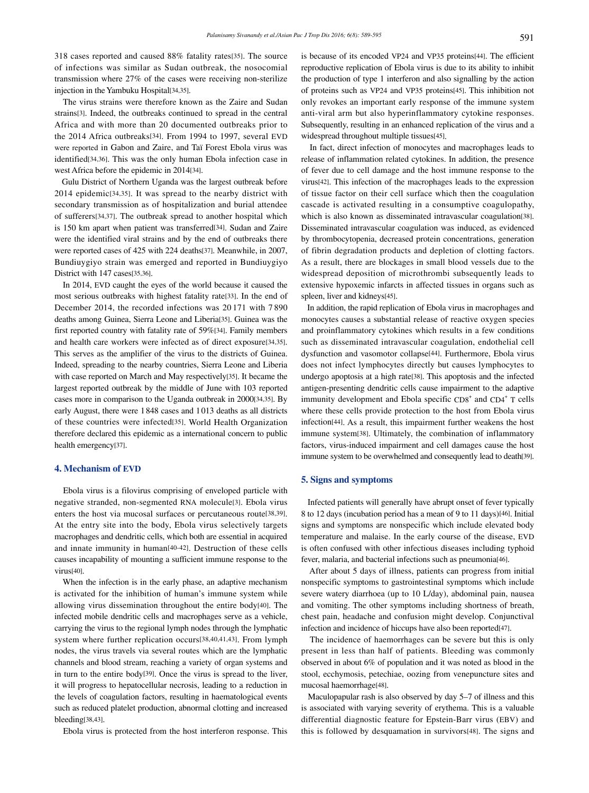318 cases reported and caused 88% fatality rates[35]. The source of infections was similar as Sudan outbreak, the nosocomial transmission where 27% of the cases were receiving non-sterilize injection in the Yambuku Hospital[34,35].

 The virus strains were therefore known as the Zaire and Sudan strains[3]. Indeed, the outbreaks continued to spread in the central Africa and with more than 20 documented outbreaks prior to the 2014 Africa outbreaks[34]. From 1994 to 1997, several EVD were reported in Gabon and Zaire, and Taï Forest Ebola virus was identified[34,36]. This was the only human Ebola infection case in west Africa before the epidemic in 2014[34].

 Gulu District of Northern Uganda was the largest outbreak before 2014 epidemic[34,35]. It was spread to the nearby district with secondary transmission as of hospitalization and burial attendee of sufferers[34,37]. The outbreak spread to another hospital which is 150 km apart when patient was transferred[34]. Sudan and Zaire were the identified viral strains and by the end of outbreaks there were reported cases of 425 with 224 deaths[37]. Meanwhile, in 2007, Bundiuygiyo strain was emerged and reported in Bundiuygiyo District with 147 cases[35,36].

 In 2014, EVD caught the eyes of the world because it caused the most serious outbreaks with highest fatality rate[33]. In the end of December 2014, the recorded infections was 20 171 with 7 890 deaths among Guinea, Sierra Leone and Liberia[35]. Guinea was the first reported country with fatality rate of 59%[34]. Family members and health care workers were infected as of direct exposure[34,35]. This serves as the amplifier of the virus to the districts of Guinea. Indeed, spreading to the nearby countries, Sierra Leone and Liberia with case reported on March and May respectively[35]. It became the largest reported outbreak by the middle of June with 103 reported cases more in comparison to the Uganda outbreak in 2000[34,35]. By early August, there were 1848 cases and 1013 deaths as all districts of these countries were infected[35]. World Health Organization therefore declared this epidemic as a international concern to public health emergency[37].

### **4. Mechanism of EVD**

 Ebola virus is a filovirus comprising of enveloped particle with negative stranded, non-segmented RNA molecule[3]. Ebola virus enters the host via mucosal surfaces or percutaneous route[38,39]. At the entry site into the body, Ebola virus selectively targets macrophages and dendritic cells, which both are essential in acquired and innate immunity in human[40-42]. Destruction of these cells causes incapability of mounting a sufficient immune response to the virus[40].

 When the infection is in the early phase, an adaptive mechanism is activated for the inhibition of human's immune system while allowing virus dissemination throughout the entire body[40]. The infected mobile dendritic cells and macrophages serve as a vehicle, carrying the virus to the regional lymph nodes through the lymphatic system where further replication occurs[38,40,41,43]. From lymph nodes, the virus travels via several routes which are the lymphatic channels and blood stream, reaching a variety of organ systems and in turn to the entire body[39]. Once the virus is spread to the liver, it will progress to hepatocellular necrosis, leading to a reduction in the levels of coagulation factors, resulting in haematological events such as reduced platelet production, abnormal clotting and increased bleeding[38,43].

Ebola virus is protected from the host interferon response. This

is because of its encoded VP24 and VP35 proteins[44]. The efficient reproductive replication of Ebola virus is due to its ability to inhibit the production of type 1 interferon and also signalling by the action of proteins such as VP24 and VP35 proteins[45]. This inhibition not only revokes an important early response of the immune system anti-viral arm but also hyperinflammatory cytokine responses. Subsequently, resulting in an enhanced replication of the virus and a widespread throughout multiple tissues[45].

 In fact, direct infection of monocytes and macrophages leads to release of inflammation related cytokines. In addition, the presence of fever due to cell damage and the host immune response to the virus[42]. This infection of the macrophages leads to the expression of tissue factor on their cell surface which then the coagulation cascade is activated resulting in a consumptive coagulopathy, which is also known as disseminated intravascular coagulation[38]. Disseminated intravascular coagulation was induced, as evidenced by thrombocytopenia, decreased protein concentrations, generation of fibrin degradation products and depletion of clotting factors. As a result, there are blockages in small blood vessels due to the widespread deposition of microthrombi subsequently leads to extensive hypoxemic infarcts in affected tissues in organs such as spleen, liver and kidneys[45].

 In addition, the rapid replication of Ebola virus in macrophages and monocytes causes a substantial release of reactive oxygen species and proinflammatory cytokines which results in a few conditions such as disseminated intravascular coagulation, endothelial cell dysfunction and vasomotor collapse[44]. Furthermore, Ebola virus does not infect lymphocytes directly but causes lymphocytes to undergo apoptosis at a high rate[38]. This apoptosis and the infected antigen-presenting dendritic cells cause impairment to the adaptive immunity development and Ebola specific CD8<sup>+</sup> and CD4<sup>+</sup> T cells where these cells provide protection to the host from Ebola virus infection[44]. As a result, this impairment further weakens the host immune system[38]. Ultimately, the combination of inflammatory factors, virus-induced impairment and cell damages cause the host immune system to be overwhelmed and consequently lead to death[39].

# **5. Signs and symptoms**

 Infected patients will generally have abrupt onset of fever typically 8 to 12 days (incubation period has a mean of 9 to 11 days)[46]. Initial signs and symptoms are nonspecific which include elevated body temperature and malaise. In the early course of the disease, EVD is often confused with other infectious diseases including typhoid fever, malaria, and bacterial infections such as pneumonia[46].

 After about 5 days of illness, patients can progress from initial nonspecific symptoms to gastrointestinal symptoms which include severe watery diarrhoea (up to 10 L/day), abdominal pain, nausea and vomiting. The other symptoms including shortness of breath, chest pain, headache and confusion might develop. Conjunctival infection and incidence of hiccups have also been reported[47].

 The incidence of haemorrhages can be severe but this is only present in less than half of patients. Bleeding was commonly observed in about 6% of population and it was noted as blood in the stool, ecchymosis, petechiae, oozing from venepuncture sites and mucosal haemorrhage[48].

 Maculopapular rash is also observed by day 5–7 of illness and this is associated with varying severity of erythema. This is a valuable differential diagnostic feature for Epstein-Barr virus (EBV) and this is followed by desquamation in survivors[48]. The signs and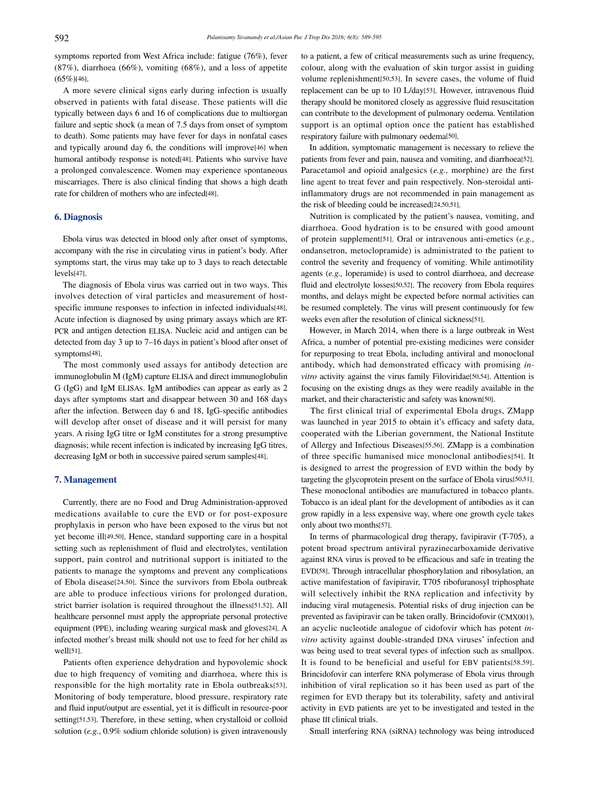symptoms reported from West Africa include: fatigue (76%), fever (87%), diarrhoea (66%), vomiting (68%), and a loss of appetite  $(65\%)$ [46].

 A more severe clinical signs early during infection is usually observed in patients with fatal disease. These patients will die typically between days 6 and 16 of complications due to multiorgan failure and septic shock (a mean of 7.5 days from onset of symptom to death). Some patients may have fever for days in nonfatal cases and typically around day 6, the conditions will improve[46] when humoral antibody response is noted[48]. Patients who survive have a prolonged convalescence. Women may experience spontaneous miscarriages. There is also clinical finding that shows a high death rate for children of mothers who are infected[48].

### **6. Diagnosis**

 Ebola virus was detected in blood only after onset of symptoms, accompany with the rise in circulating virus in patient's body. After symptoms start, the virus may take up to 3 days to reach detectable levels[47].

 The diagnosis of Ebola virus was carried out in two ways. This involves detection of viral particles and measurement of hostspecific immune responses to infection in infected individuals<sup>[48]</sup>. Acute infection is diagnosed by using primary assays which are RT-PCR and antigen detection ELISA. Nucleic acid and antigen can be detected from day 3 up to 7–16 days in patient's blood after onset of symptoms[48].

 The most commonly used assays for antibody detection are immunoglobulin M (IgM) capture ELISA and direct immunoglobulin G (IgG) and IgM ELISAs. IgM antibodies can appear as early as 2 days after symptoms start and disappear between 30 and 168 days after the infection. Between day 6 and 18, IgG-specific antibodies will develop after onset of disease and it will persist for many years. A rising IgG titre or IgM constitutes for a strong presumptive diagnosis; while recent infection is indicated by increasing IgG titres, decreasing IgM or both in successive paired serum samples[48].

### **7. Management**

 Currently, there are no Food and Drug Administration-approved medications available to cure the EVD or for post-exposure prophylaxis in person who have been exposed to the virus but not yet become ill[49,50]. Hence, standard supporting care in a hospital setting such as replenishment of fluid and electrolytes, ventilation support, pain control and nutritional support is initiated to the patients to manage the symptoms and prevent any complications of Ebola disease[24,50]. Since the survivors from Ebola outbreak are able to produce infectious virions for prolonged duration, strict barrier isolation is required throughout the illness[51,52]. All healthcare personnel must apply the appropriate personal protective equipment (PPE), including wearing surgical mask and gloves[24]. A infected mother's breast milk should not use to feed for her child as well[51].

 Patients often experience dehydration and hypovolemic shock due to high frequency of vomiting and diarrhoea, where this is responsible for the high mortality rate in Ebola outbreaks[53]. Monitoring of body temperature, blood pressure, respiratory rate and fluid input/output are essential, yet it is difficult in resource-poor setting[51,53]. Therefore, in these setting, when crystalloid or colloid solution (*e.g.*, 0.9% sodium chloride solution) is given intravenously to a patient, a few of critical measurements such as urine frequency, colour, along with the evaluation of skin turgor assist in guiding volume replenishment[50,53]. In severe cases, the volume of fluid replacement can be up to 10 L/day[53]. However, intravenous fluid therapy should be monitored closely as aggressive fluid resuscitation can contribute to the development of pulmonary oedema. Ventilation support is an optimal option once the patient has established respiratory failure with pulmonary oedema[50].

 In addition, symptomatic management is necessary to relieve the patients from fever and pain, nausea and vomiting, and diarrhoea[52]. Paracetamol and opioid analgesics (*e.g.,* morphine) are the first line agent to treat fever and pain respectively. Non-steroidal antiinflammatory drugs are not recommended in pain management as the risk of bleeding could be increased[24,50,51].

 Nutrition is complicated by the patient's nausea, vomiting, and diarrhoea. Good hydration is to be ensured with good amount of protein supplement[51]. Oral or intravenous anti-emetics (*e.g.*, ondansetron, metoclopramide) is administrated to the patient to control the severity and frequency of vomiting. While antimotility agents (*e.g.,* loperamide) is used to control diarrhoea, and decrease fluid and electrolyte losses[50,52]. The recovery from Ebola requires months, and delays might be expected before normal activities can be resumed completely. The virus will present continuously for few weeks even after the resolution of clinical sickness[51].

 However, in March 2014, when there is a large outbreak in West Africa, a number of potential pre-existing medicines were consider for repurposing to treat Ebola, including antiviral and monoclonal antibody, which had demonstrated efficacy with promising *invitro* activity against the virus family Filoviridae[50,54]. Attention is focusing on the existing drugs as they were readily available in the market, and their characteristic and safety was known[50].

 The first clinical trial of experimental Ebola drugs, ZMapp was launched in year 2015 to obtain it's efficacy and safety data, cooperated with the Liberian government, the National Institute of Allergy and Infectious Diseases[55,56]. ZMapp is a combination of three specific humanised mice monoclonal antibodies[54]. It is designed to arrest the progression of EVD within the body by targeting the glycoprotein present on the surface of Ebola virus[50,51]. These monoclonal antibodies are manufactured in tobacco plants. Tobacco is an ideal plant for the development of antibodies as it can grow rapidly in a less expensive way, where one growth cycle takes only about two months[57].

 In terms of pharmacological drug therapy, favipiravir (T-705), a potent broad spectrum antiviral pyrazinecarboxamide derivative against RNA virus is proved to be efficacious and safe in treating the EVD[58]. Through intracellular phosphorylation and ribosylation, an active manifestation of favipiravir, T705 ribofuranosyl triphosphate will selectively inhibit the RNA replication and infectivity by inducing viral mutagenesis. Potential risks of drug injection can be prevented as favipiravir can be taken orally. Brincidofovir (CMX001), an acyclic nucleotide analogue of cidofovir which has potent *invitro* activity against double-stranded DNA viruses' infection and was being used to treat several types of infection such as smallpox. It is found to be beneficial and useful for EBV patients[58,59]. Brincidofovir can interfere RNA polymerase of Ebola virus through inhibition of viral replication so it has been used as part of the regimen for EVD therapy but its tolerability, safety and antiviral activity in EVD patients are yet to be investigated and tested in the phase III clinical trials.

Small interfering RNA (siRNA) technology was being introduced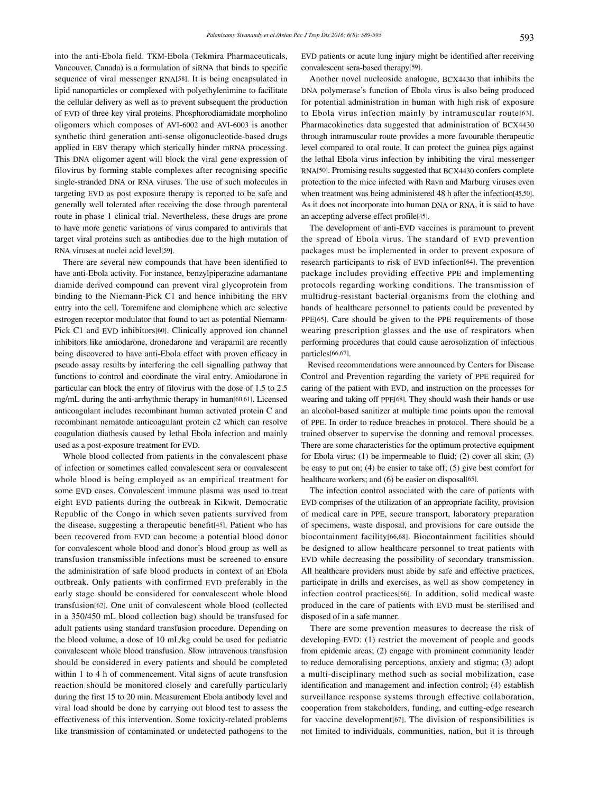into the anti-Ebola field. TKM-Ebola (Tekmira Pharmaceuticals, Vancouver, Canada) is a formulation of siRNA that binds to specific sequence of viral messenger RNA[58]. It is being encapsulated in lipid nanoparticles or complexed with polyethylenimine to facilitate the cellular delivery as well as to prevent subsequent the production of EVD of three key viral proteins. Phosphorodiamidate morpholino oligomers which composes of AVI-6002 and AVI-6003 is another synthetic third generation anti-sense oligonucleotide-based drugs applied in EBV therapy which sterically hinder mRNA processing. This DNA oligomer agent will block the viral gene expression of filovirus by forming stable complexes after recognising specific single-stranded DNA or RNA viruses. The use of such molecules in targeting EVD as post exposure therapy is reported to be safe and generally well tolerated after receiving the dose through parenteral route in phase 1 clinical trial. Nevertheless, these drugs are prone to have more genetic variations of virus compared to antivirals that target viral proteins such as antibodies due to the high mutation of RNA viruses at nuclei acid level[59].

 There are several new compounds that have been identified to have anti-Ebola activity. For instance, benzylpiperazine adamantane diamide derived compound can prevent viral glycoprotein from binding to the Niemann-Pick C1 and hence inhibiting the EBV entry into the cell. Toremifene and clomiphene which are selective estrogen receptor modulator that found to act as potential Niemann-Pick C1 and EVD inhibitors[60]. Clinically approved ion channel inhibitors like amiodarone, dronedarone and verapamil are recently being discovered to have anti-Ebola effect with proven efficacy in pseudo assay results by interfering the cell signalling pathway that functions to control and coordinate the viral entry. Amiodarone in particular can block the entry of filovirus with the dose of 1.5 to 2.5 mg/mL during the anti-arrhythmic therapy in human[60,61]. Licensed anticoagulant includes recombinant human activated protein C and recombinant nematode anticoagulant protein c2 which can resolve coagulation diathesis caused by lethal Ebola infection and mainly used as a post-exposure treatment for EVD.

 Whole blood collected from patients in the convalescent phase of infection or sometimes called convalescent sera or convalescent whole blood is being employed as an empirical treatment for some EVD cases. Convalescent immune plasma was used to treat eight EVD patients during the outbreak in Kikwit, Democratic Republic of the Congo in which seven patients survived from the disease, suggesting a therapeutic benefit[45]. Patient who has been recovered from EVD can become a potential blood donor for convalescent whole blood and donor's blood group as well as transfusion transmissible infections must be screened to ensure the administration of safe blood products in context of an Ebola outbreak. Only patients with confirmed EVD preferably in the early stage should be considered for convalescent whole blood transfusion[62]. One unit of convalescent whole blood (collected in a 350/450 mL blood collection bag) should be transfused for adult patients using standard transfusion procedure. Depending on the blood volume, a dose of 10 mL/kg could be used for pediatric convalescent whole blood transfusion. Slow intravenous transfusion should be considered in every patients and should be completed within 1 to 4 h of commencement. Vital signs of acute transfusion reaction should be monitored closely and carefully particularly during the first 15 to 20 min. Measurement Ebola antibody level and viral load should be done by carrying out blood test to assess the effectiveness of this intervention. Some toxicity-related problems like transmission of contaminated or undetected pathogens to the EVD patients or acute lung injury might be identified after receiving convalescent sera-based therapy[59].

 Another novel nucleoside analogue, BCX4430 that inhibits the DNA polymerase's function of Ebola virus is also being produced for potential administration in human with high risk of exposure to Ebola virus infection mainly by intramuscular route[63]. Pharmacokinetics data suggested that administration of BCX4430 through intramuscular route provides a more favourable therapeutic level compared to oral route. It can protect the guinea pigs against the lethal Ebola virus infection by inhibiting the viral messenger RNA[50]. Promising results suggested that BCX4430 confers complete protection to the mice infected with Ravn and Marburg viruses even when treatment was being administered 48 h after the infection[45,50]. As it does not incorporate into human DNA or RNA, it is said to have an accepting adverse effect profile[45].

 The development of anti-EVD vaccines is paramount to prevent the spread of Ebola virus. The standard of EVD prevention packages must be implemented in order to prevent exposure of research participants to risk of EVD infection[64]. The prevention package includes providing effective PPE and implementing protocols regarding working conditions. The transmission of multidrug-resistant bacterial organisms from the clothing and hands of healthcare personnel to patients could be prevented by PPE[65]. Care should be given to the PPE requirements of those wearing prescription glasses and the use of respirators when performing procedures that could cause aerosolization of infectious particles[66,67].

 Revised recommendations were announced by Centers for Disease Control and Prevention regarding the variety of PPE required for caring of the patient with EVD, and instruction on the processes for wearing and taking off PPE[68]. They should wash their hands or use an alcohol-based sanitizer at multiple time points upon the removal of PPE. In order to reduce breaches in protocol. There should be a trained observer to supervise the donning and removal processes. There are some characteristics for the optimum protective equipment for Ebola virus: (1) be impermeable to fluid; (2) cover all skin; (3) be easy to put on; (4) be easier to take off; (5) give best comfort for healthcare workers; and (6) be easier on disposal[65].

 The infection control associated with the care of patients with EVD comprises of the utilization of an appropriate facility, provision of medical care in PPE, secure transport, laboratory preparation of specimens, waste disposal, and provisions for care outside the biocontainment facility[66,68]. Biocontainment facilities should be designed to allow healthcare personnel to treat patients with EVD while decreasing the possibility of secondary transmission. All healthcare providers must abide by safe and effective practices, participate in drills and exercises, as well as show competency in infection control practices[66]. In addition, solid medical waste produced in the care of patients with EVD must be sterilised and disposed of in a safe manner.

 There are some prevention measures to decrease the risk of developing EVD: (1) restrict the movement of people and goods from epidemic areas; (2) engage with prominent community leader to reduce demoralising perceptions, anxiety and stigma; (3) adopt a multi-disciplinary method such as social mobilization, case identification and management and infection control; (4) establish surveillance response systems through effective collaboration, cooperation from stakeholders, funding, and cutting-edge research for vaccine development[67]. The division of responsibilities is not limited to individuals, communities, nation, but it is through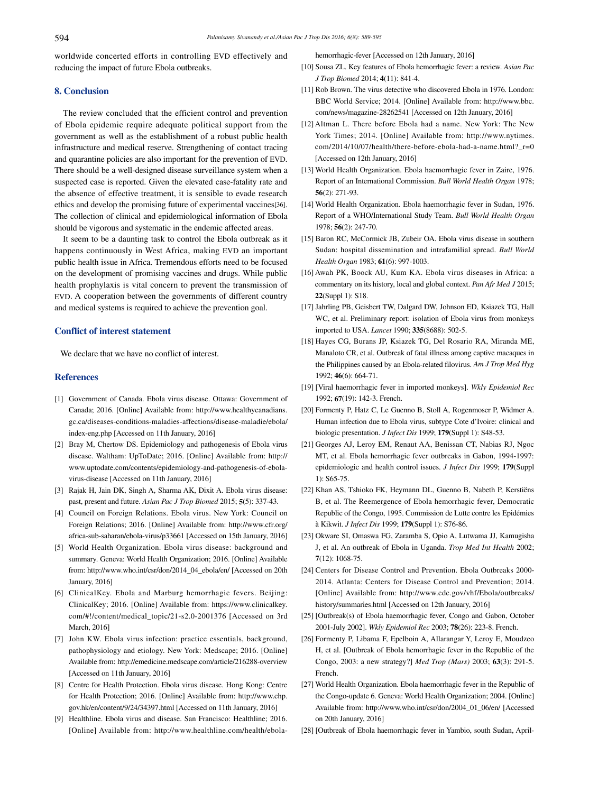worldwide concerted efforts in controlling EVD effectively and reducing the impact of future Ebola outbreaks.

### **8. Conclusion**

 The review concluded that the efficient control and prevention of Ebola epidemic require adequate political support from the government as well as the establishment of a robust public health infrastructure and medical reserve. Strengthening of contact tracing and quarantine policies are also important for the prevention of EVD. There should be a well-designed disease surveillance system when a suspected case is reported. Given the elevated case-fatality rate and the absence of effective treatment, it is sensible to evade research ethics and develop the promising future of experimental vaccines[36]. The collection of clinical and epidemiological information of Ebola should be vigorous and systematic in the endemic affected areas.

 It seem to be a daunting task to control the Ebola outbreak as it happens continuously in West Africa, making EVD an important public health issue in Africa. Tremendous efforts need to be focused on the development of promising vaccines and drugs. While public health prophylaxis is vital concern to prevent the transmission of EVD. A cooperation between the governments of different country and medical systems is required to achieve the prevention goal.

### **Conflict of interest statement**

We declare that we have no conflict of interest.

#### **References**

- [1] Government of Canada. Ebola virus disease. Ottawa: Government of Canada; 2016. [Online] Available from: http://www.healthycanadians. gc.ca/diseases-conditions-maladies-affections/disease-maladie/ebola/ index-eng.php [Accessed on 11th January, 2016]
- [2] Bray M, Chertow DS. Epidemiology and pathogenesis of Ebola virus disease. Waltham: UpToDate; 2016. [Online] Available from: http:// www.uptodate.com/contents/epidemiology-and-pathogenesis-of-ebolavirus-disease [Accessed on 11th January, 2016]
- [3] Rajak H, Jain DK, Singh A, Sharma AK, Dixit A. Ebola virus disease: past, present and future. *Asian Pac J Trop Biomed* 2015; **5**(5): 337-43.
- [4] Council on Foreign Relations. Ebola virus. New York: Council on Foreign Relations; 2016. [Online] Available from: http://www.cfr.org/ africa-sub-saharan/ebola-virus/p33661 [Accessed on 15th January, 2016]
- [5] World Health Organization. Ebola virus disease: background and summary. Geneva: World Health Organization; 2016. [Online] Available from: http://www.who.int/csr/don/2014\_04\_ebola/en/ [Accessed on 20th January, 2016]
- [6] ClinicalKey. Ebola and Marburg hemorrhagic fevers. Beijing: ClinicalKey; 2016. [Online] Available from: https://www.clinicalkey. com/#!/content/medical\_topic/21-s2.0-2001376 [Accessed on 3rd March, 2016]
- [7] John KW. Ebola virus infection: practice essentials, background, pathophysiology and etiology. New York: Medscape; 2016. [Online] Available from: http://emedicine.medscape.com/article/216288-overview [Accessed on 11th January, 2016]
- [8] Centre for Health Protection. Ebola virus disease. Hong Kong: Centre for Health Protection; 2016. [Online] Available from: http://www.chp. gov.hk/en/content/9/24/34397.html [Accessed on 11th January, 2016]
- [9] Healthline. Ebola virus and disease. San Francisco: Healthline; 2016. [Online] Available from: http://www.healthline.com/health/ebola-

hemorrhagic-fever [Accessed on 12th January, 2016]

- [10] Sousa ZL. Key features of Ebola hemorrhagic fever: a review. *Asian Pac J Trop Biomed* 2014; **4**(11): 841-4.
- [11] Rob Brown. The virus detective who discovered Ebola in 1976. London: BBC World Service; 2014. [Online] Available from: http://www.bbc. com/news/magazine-28262541 [Accessed on 12th January, 2016]
- [12] Altman L. There before Ebola had a name. New York: The New York Times; 2014. [Online] Available from: http://www.nytimes. com/2014/10/07/health/there-before-ebola-had-a-name.html?\_r=0 [Accessed on 12th January, 2016]
- [13] World Health Organization. Ebola haemorrhagic fever in Zaire, 1976. Report of an International Commission. *Bull World Health Organ* 1978; **56**(2): 271-93.
- [14] World Health Organization. Ebola haemorrhagic fever in Sudan, 1976. Report of a WHO/International Study Team. *Bull World Health Organ*  1978; **56**(2): 247-70.
- [15] Baron RC, McCormick JB, Zubeir OA. Ebola virus disease in southern Sudan: hospital dissemination and intrafamilial spread. *Bull World Health Organ* 1983; **61**(6): 997-1003.
- [16] Awah PK, Boock AU, Kum KA. Ebola virus diseases in Africa: a commentary on its history, local and global context. *Pan Afr Med J* 2015; **22**(Suppl 1): S18.
- [17] Jahrling PB, Geisbert TW, Dalgard DW, Johnson ED, Ksiazek TG, Hall WC, et al. Preliminary report: isolation of Ebola virus from monkeys imported to USA. *Lancet* 1990; **335**(8688): 502-5.
- [18] Hayes CG, Burans JP, Ksiazek TG, Del Rosario RA, Miranda ME, Manaloto CR, et al. Outbreak of fatal illness among captive macaques in the Philippines caused by an Ebola-related filovirus. *Am J Trop Med Hyg*  1992; **46**(6): 664-71.
- [19] [Viral haemorrhagic fever in imported monkeys]. *Wkly Epidemiol Rec* 1992; **67**(19): 142-3. French.
- [20] Formenty P, Hatz C, Le Guenno B, Stoll A, Rogenmoser P, Widmer A. Human infection due to Ebola virus, subtype Cote d'Ivoire: clinical and biologic presentation. *J Infect Dis* 1999; **179**(Suppl 1): S48-53.
- [21] Georges AJ, Leroy EM, Renaut AA, Benissan CT, Nabias RJ, Ngoc MT, et al. Ebola hemorrhagic fever outbreaks in Gabon, 1994-1997: epidemiologic and health control issues. *J Infect Dis* 1999; **179**(Suppl 1): S65-75.
- [22] Khan AS, Tshioko FK, Heymann DL, Guenno B, Nabeth P, Kerstiëns B, et al. The Reemergence of Ebola hemorrhagic fever, Democratic Republic of the Congo, 1995. Commission de Lutte contre les Epidémies à Kikwit. *J Infect Dis* 1999; **179**(Suppl 1): S76-86.
- [23] Okware SI, Omaswa FG, Zaramba S, Opio A, Lutwama JJ, Kamugisha J, et al. An outbreak of Ebola in Uganda. *Trop Med Int Health* 2002; **7**(12): 1068-75.
- [24] Centers for Disease Control and Prevention. Ebola Outbreaks 2000- 2014. Atlanta: Centers for Disease Control and Prevention; 2014. [Online] Available from: http://www.cdc.gov/vhf/Ebola/outbreaks/ history/summaries.html [Accessed on 12th January, 2016]
- [25] [Outbreak(s) of Ebola haemorrhagic fever, Congo and Gabon, October 2001-July 2002]. *Wkly Epidemiol Rec* 2003; **78**(26): 223-8. French.
- [26] Formenty P, Libama F, Epelboin A, Allarangar Y, Leroy E, Moudzeo H, et al. [Outbreak of Ebola hemorrhagic fever in the Republic of the Congo, 2003: a new strategy?] *Med Trop (Mars)* 2003; **63**(3): 291-5. French.
- [27] World Health Organization. Ebola haemorrhagic fever in the Republic of the Congo-update 6. Geneva: World Health Organization; 2004. [Online] Available from: http://www.who.int/csr/don/2004\_01\_06/en/ [Accessed on 20th January, 2016]
- [28] [Outbreak of Ebola haemorrhagic fever in Yambio, south Sudan, April-